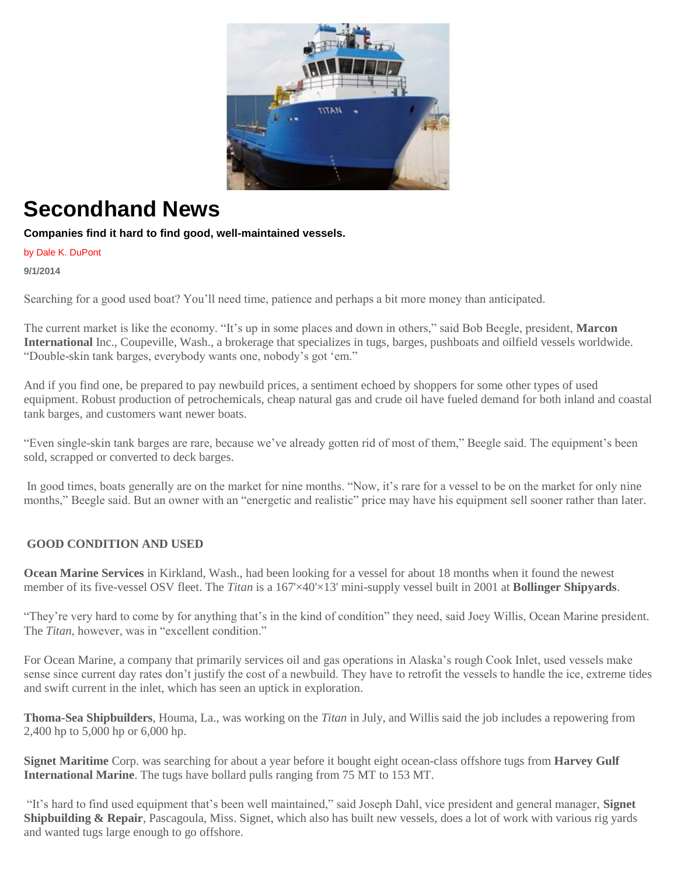

## **Secondhand News**

## **Companies find it hard to find good, well-maintained vessels.**

by Dale K. DuPont

**9/1/2014**

Searching for a good used boat? You'll need time, patience and perhaps a bit more money than anticipated.

The current market is like the economy. "It's up in some places and down in others," said Bob Beegle, president, **Marcon International** Inc., Coupeville, Wash., a brokerage that specializes in tugs, barges, pushboats and oilfield vessels worldwide. "Double-skin tank barges, everybody wants one, nobody's got 'em."

And if you find one, be prepared to pay newbuild prices, a sentiment echoed by shoppers for some other types of used equipment. Robust production of petrochemicals, cheap natural gas and crude oil have fueled demand for both inland and coastal tank barges, and customers want newer boats.

"Even single-skin tank barges are rare, because we've already gotten rid of most of them," Beegle said. The equipment's been sold, scrapped or converted to deck barges.

In good times, boats generally are on the market for nine months. "Now, it's rare for a vessel to be on the market for only nine months," Beegle said. But an owner with an "energetic and realistic" price may have his equipment sell sooner rather than later.

## **GOOD CONDITION AND USED**

**Ocean Marine Services** in Kirkland, Wash., had been looking for a vessel for about 18 months when it found the newest member of its five-vessel OSV fleet. The *Titan* is a 167'×40'×13' mini-supply vessel built in 2001 at **Bollinger Shipyards**.

"They're very hard to come by for anything that's in the kind of condition" they need, said Joey Willis, Ocean Marine president. The *Titan*, however, was in "excellent condition."

For Ocean Marine, a company that primarily services oil and gas operations in Alaska's rough Cook Inlet, used vessels make sense since current day rates don't justify the cost of a newbuild. They have to retrofit the vessels to handle the ice, extreme tides and swift current in the inlet, which has seen an uptick in exploration.

**Thoma-Sea Shipbuilders**, Houma, La., was working on the *Titan* in July, and Willis said the job includes a repowering from 2,400 hp to 5,000 hp or 6,000 hp.

**Signet Maritime** Corp. was searching for about a year before it bought eight ocean-class offshore tugs from **Harvey Gulf International Marine**. The tugs have bollard pulls ranging from 75 MT to 153 MT.

"It's hard to find used equipment that's been well maintained," said Joseph Dahl, vice president and general manager, **Signet Shipbuilding & Repair**, Pascagoula, Miss. Signet, which also has built new vessels, does a lot of work with various rig yards and wanted tugs large enough to go offshore.